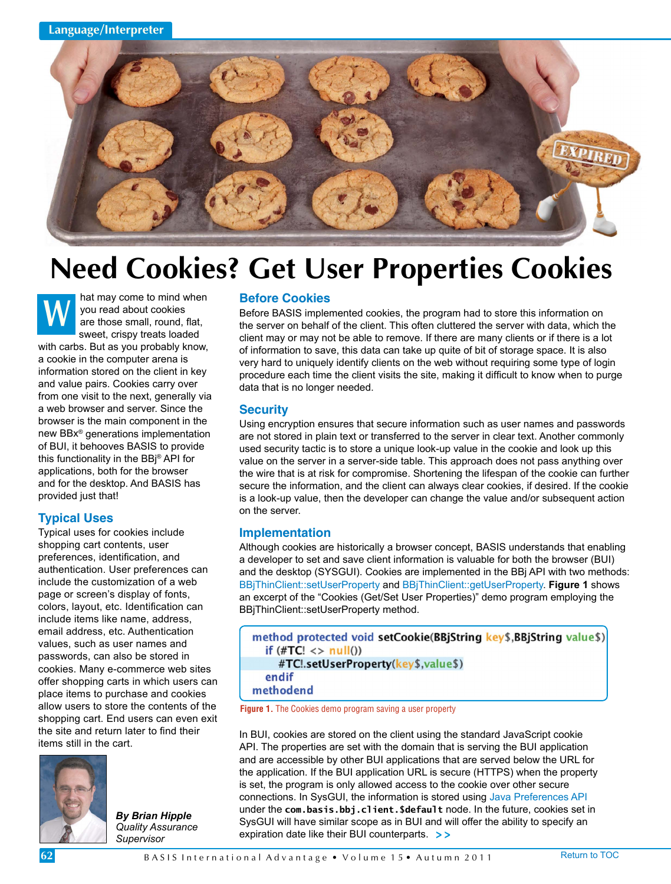

# **Need Cookies? Get User Properties Cookies**

hat may come to mind when you read about cookies are those small, round, flat, sweet, crispy treats loaded with carbs. But as you probably know, a cookie in the computer arena is information stored on the client in key and value pairs. Cookies carry over from one visit to the next, generally via a web browser and server. Since the browser is the main component in the new BBx® generations implementation of BUI, it behooves BASIS to provide this functionality in the BBj® API for applications, both for the browser and for the desktop. And BASIS has provided just that! **W**

## **Typical Uses**

Typical uses for cookies include shopping cart contents, user preferences, identification, and authentication. User preferences can include the customization of a web page or screen's display of fonts, colors, layout, etc. Identification can include items like name, address, email address, etc. Authentication values, such as user names and passwords, can also be stored in cookies. Many e-commerce web sites offer shopping carts in which users can place items to purchase and cookies allow users to store the contents of the shopping cart. End users can even exit the site and return later to find their items still in the cart.



*By Brian Hipple Quality Assurance Supervisor*

#### **Before Cookies**

Before BASIS implemented cookies, the program had to store this information on the server on behalf of the client. This often cluttered the server with data, which the client may or may not be able to remove. If there are many clients or if there is a lot of information to save, this data can take up quite of bit of storage space. It is also very hard to uniquely identify clients on the web without requiring some type of login procedure each time the client visits the site, making it difficult to know when to purge data that is no longer needed.

#### **Security**

Using encryption ensures that secure information such as user names and passwords are not stored in plain text or transferred to the server in clear text. Another commonly used security tactic is to store a unique look-up value in the cookie and look up this value on the server in a server-side table. This approach does not pass anything over the wire that is at risk for compromise. Shortening the lifespan of the cookie can further secure the information, and the client can always clear cookies, if desired. If the cookie is a look-up value, then the developer can change the value and/or subsequent action on the server.

#### **Implementation**

Although cookies are historically a browser concept, BASIS understands that enabling a developer to set and save client information is valuable for both the browser (BUI) and the desktop (SYSGUI). Cookies are implemented in the BBj API with two methods: [BBjThinClient::setUserProperty a](http://documentation.basis.com/BASISHelp/WebHelp/sysguimethods4/bbjthinclient_setuserproperty.htm)n[d BBjThinClient::getUserProperty.](http://documentation.basis.com/BASISHelp/WebHelp/sysguimethods4/bbjthinclient_getuserproperty.htm) **Figure 1** shows an excerpt of the "Cookies (Get/Set User Properties)" demo program employing the BBjThinClient::setUserProperty method.

| method protected void setCookie(BBjString key\$,BBjString value\$) |  |
|--------------------------------------------------------------------|--|
| if $(\#TC! \lt$ null())                                            |  |
| #TC!.setUserProperty(key\$,value\$)                                |  |
| endif                                                              |  |
| methodend                                                          |  |
|                                                                    |  |

**Figure 1.** The Cookies demo program saving a user property

In BUI, cookies are stored on the client using the standard JavaScript cookie API. The properties are set with the domain that is serving the BUI application and are accessible by other BUI applications that are served below the URL for the application. If the BUI application URL is secure (HTTPS) when the property is set, the program is only allowed access to the cookie over other secure connections. In SysGUI, the information is stored using [Java Preferences API](http://docs.oracle.com/javase/1.4.2/docs/guide/lang/preferences.html) under the **com.basis.bbj.client.\$default** node. In the future, cookies set in SysGUI will have similar scope as in BUI and will offer the ability to specify an expiration date like their BUI counterparts. **> >**